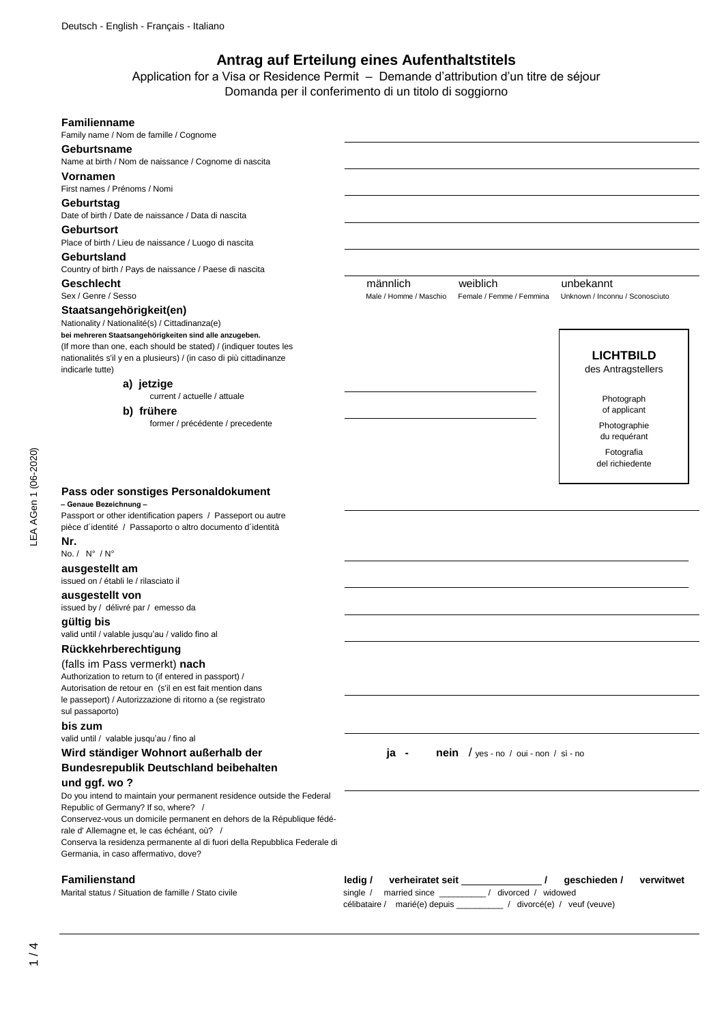# **Antrag auf Erteilung eines Aufenthaltstitels**

Application for a Visa or Residence Permit – Demande d'attribution d'un titre de séjour Domanda per il conferimento di un titolo di soggiorno

## **Familienname** Family name / Nom de famille / Cognome **Geburtsname** Name at birth / Nom de naissance / Cognome di nascita **Vornamen** First names / Prénoms / Nomi **Geburtstag** Date of birth / Date de naissance / Data di nascita **Geburtsort** Place of birth / Lieu de naissance / Luogo di nascita **Geburtsland** Country of birth / Pays de naissance / Paese di nascita **Geschlecht** männlich weiblich unbekannt Sex / Genre / Sesso **Male / Homme / Maschio Female / Femme / Femmina** Unknown / Inconnu / Sconosciuto **Staatsangehörigkeit(en)** Nationality / Nationalité(s) / Cittadinanza(e) **bei mehreren Staatsangehörigkeiten sind alle anzugeben.** (If more than one, each should be stated) / (indiquer toutes les nationalités s'il y en a plusieurs) / (in caso di più cittadinanze indicarle tutte) current / actuelle / attuale former / précédente / precedente **Pass oder sonstiges Personaldokument – Genaue Bezeichnung –** Passport or other identification papers / Passeport ou autre pièce d´identité / Passaporto o altro documento d´identità **Nr.** No. / N° / N° **ausgestellt am** issued on / établi le / rilasciato il **ausgestellt von** issued by / délivré par / emesso da **gültig bis** valid until / valable jusqu'au / valido fino al **Rückkehrberechtigung** (falls im Pass vermerkt) **nach** Authorization to return to (if entered in passport) / Autorisation de retour en (s'il en est fait mention dans le passeport) / Autorizzazione di ritorno a (se registrato sul passaporto) **bis zum** valid until / valable jusqu'au / fino al **Wird ständiger Wohnort außerhalb der ja - nein** / yes - no / oui - non / sì - no **Bundesrepublik Deutschland beibehalten und ggf. wo ?** Do you intend to maintain your permanent residence outside the Federal Republic of Germany? If so, where? / Conservez-vous un domicile permanent en dehors de la République fédérale d' Allemagne et, le cas échéant, où? / Conserva la residenza permanente al di fuori della Repubblica Federale di Germania, in caso affermativo, dove? **Familienstand ledig / verheiratet seit / geschieden / verwitwet ledig / verheiratet seit / geschieden / verwitwet** Marital status / Situation de famille / Stato civile single / married since \_\_\_\_\_\_\_\_\_ / divorced / widowed célibataire / marié(e) depuis \_\_\_\_\_\_\_\_\_\_ / divorcé(e) / veuf (veuve) Fotografia del richiedente  **b) frühere LICHTBILD** des Antragstellers Photograph of applicant  **a) jetzige** Photographie du requérant

LEA AGen 1 (06-2020)

.EA AGen 1 (06-2020)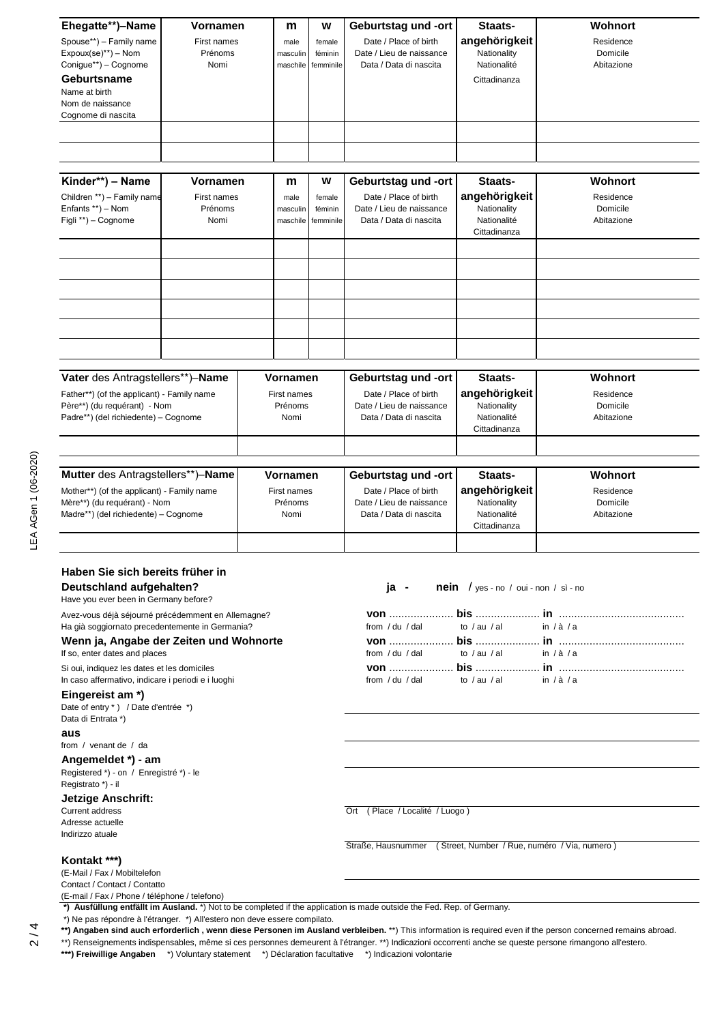| Ehegatte**)-Name<br>Vornamen<br>Spouse**) - Family name<br>First names<br>Expoux(se)**) - Nom<br>Prénoms<br>Conigue**) - Cognome<br>Nomi<br>Geburtsname<br>Name at birth<br>Nom de naissance<br>Cognome di nascita<br>Kinder**) - Name<br><b>Vornamen</b><br>Children **) - Family name<br>First names |                              | m<br>male<br>masculin<br>maschile<br>m<br>male<br>masculin | W<br>female<br>féminin<br>femminile<br>W<br>female<br>féminin | Geburtstag und -ort<br>Date / Place of birth<br>Date / Lieu de naissance<br>Data / Data di nascita<br>Geburtstag und -ort<br>Date / Place of birth<br>Date / Lieu de naissance            | Staats-<br>angehörigkeit<br>Nationality<br>Nationalité<br>Cittadinanza<br>Staats-<br>angehörigkeit<br>Nationality | Wohnort<br>Residence<br>Domicile<br>Abitazione<br>Wohnort<br>Residence<br>Domicile |
|--------------------------------------------------------------------------------------------------------------------------------------------------------------------------------------------------------------------------------------------------------------------------------------------------------|------------------------------|------------------------------------------------------------|---------------------------------------------------------------|-------------------------------------------------------------------------------------------------------------------------------------------------------------------------------------------|-------------------------------------------------------------------------------------------------------------------|------------------------------------------------------------------------------------|
| Enfants **) - Nom<br>Figli **) - Cognome                                                                                                                                                                                                                                                               | Prénoms<br>Nomi              | maschile                                                   | femminile                                                     | Data / Data di nascita                                                                                                                                                                    | Nationalité<br>Cittadinanza                                                                                       | Abitazione                                                                         |
| Vater des Antragstellers**)-Name<br>Father**) (of the applicant) - Family name<br>Père**) (du requérant) - Nom<br>Padre**) (del richiedente) - Cognome                                                                                                                                                 |                              | <b>Vornamen</b><br>First names<br>Prénoms<br>Nomi          |                                                               | Geburtstag und -ort<br>Date / Place of birth<br>Date / Lieu de naissance<br>Data / Data di nascita                                                                                        | Staats-<br>angehörigkeit<br>Nationality<br>Nationalité<br>Cittadinanza                                            | Wohnort<br>Residence<br>Domicile<br>Abitazione                                     |
| Mutter des Antragstellers**)-Name<br>Mother**) (of the applicant) - Family name<br>Mère**) (du requérant) - Nom<br>Madre**) (del richiedente) – Cognome                                                                                                                                                |                              | Vornamen<br>First names<br>Prénoms<br>Nomi                 |                                                               | Geburtstag und -ort<br>Date / Place of birth<br>Date / Lieu de naissance<br>Data / Data di nascita                                                                                        | Staats-<br>angehörigkeit<br>Nationality<br>Nationalité<br>Cittadinanza                                            | Wohnort<br>Residence<br>Domicile<br>Abitazione                                     |
| Haben Sie sich bereits früher in<br>Deutschland aufgehalten?<br>Have you ever been in Germany before?                                                                                                                                                                                                  |                              |                                                            |                                                               | ja -                                                                                                                                                                                      | <b>nein</b> / yes - no / oui - non / sì - no                                                                      |                                                                                    |
| Avez-vous déjà séjourné précédemment en Allemagne?<br>Ha già soggiornato precedentemente in Germania?<br>Wenn ja, Angabe der Zeiten und Wohnorte<br>If so, enter dates and places                                                                                                                      |                              |                                                            |                                                               | from $/$ du $/$ dal<br>from $/$ du $/$ dal                                                                                                                                                | to $/$ au $/$ al<br>to $/$ au $/$ al                                                                              | in $/\dot{a}/a$<br>in $/\dot{a}/a$                                                 |
| Si oui, indiquez les dates et les domiciles<br>In caso affermativo, indicare i periodi e i luoghi<br>Eingereist am *)<br>Date of entry *) / Date d'entrée *)<br>Data di Entrata *)<br>aus<br>from / venant de / da<br>Angemeldet *) - am                                                               |                              |                                                            |                                                               | from $/$ du $/$ dal                                                                                                                                                                       | to $/$ au $/$ al                                                                                                  | in $/\dot{a}/a$                                                                    |
| Registered *) - on / Enregistré *) - le<br>Registrato *) - il<br><b>Jetzige Anschrift:</b><br><b>Current address</b><br>Adresse actuelle<br>Indirizzo atuale                                                                                                                                           |                              |                                                            | Ort (Place / Localité / Luogo)                                |                                                                                                                                                                                           |                                                                                                                   |                                                                                    |
| Kontakt ***)<br>(E-Mail / Fax / Mobiltelefon<br>Contact / Contact / Contatto<br>(E-mail / Fax / Phone / téléphone / telefono)                                                                                                                                                                          | بغضمااله \* يومومونغكالذ موك |                                                            |                                                               | Straße, Hausnummer (Street, Number / Rue, numéro / Via, numero)<br>*) Ausfüllung entfällt im Ausland. *) Not to be completed if the application is made outside the Fed. Rep. of Germany. |                                                                                                                   |                                                                                    |

\*) Ne pas répondre à l'étranger. \*) All'estero non deve essere compilato.

**\*\*) Angaben sind auch erforderlich , wenn diese Personen im Ausland verbleiben.** \*\*) This information is required even if the person concerned remains abroad.

\*\*) Renseignements indispensables, même si ces personnes demeurent à l'étranger. \*\*) Indicazioni occorrenti anche se queste persone rimangono all'estero.

**\*\*\*) Freiwillige Angaben** \*) Voluntary statement \*) Déclaration facultative \*) Indicazioni volontarie

2 / 4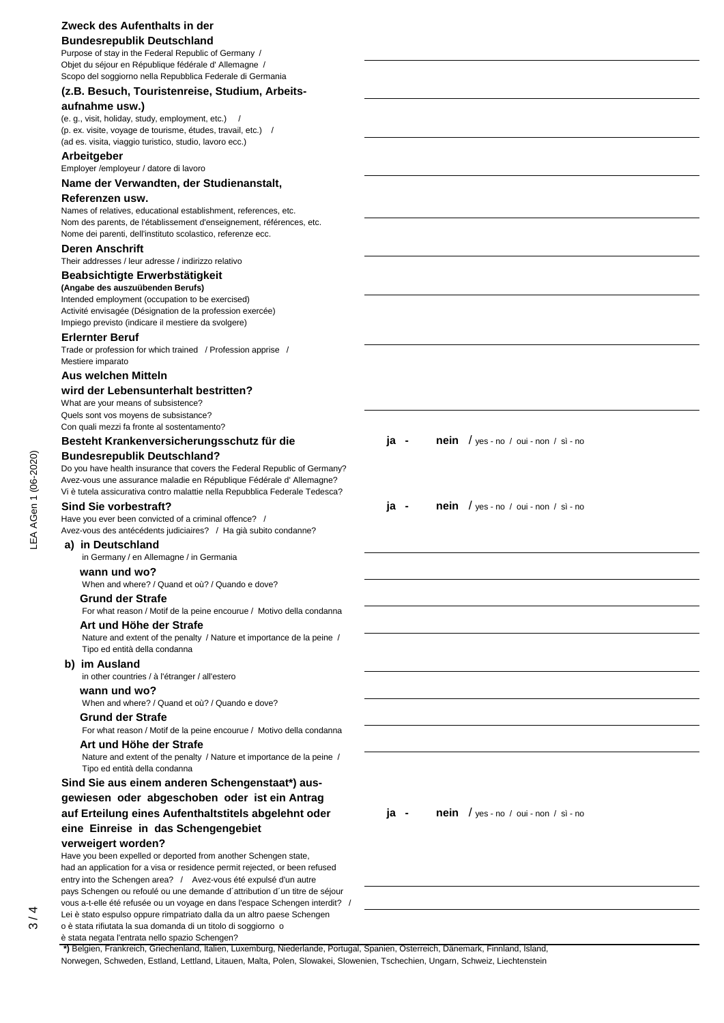# **Zweck des Aufenthalts in der**

# **Bundesrepublik Deutschland**

Purpose of stay in the Federal Republic of Germany / Objet du séjour en République fédérale d' Allemagne / Scopo del soggiorno nella Repubblica Federale di Germania

## **(z.B. Besuch, Touristenreise, Studium, Arbeits-**

## **aufnahme usw.)**

(e. g., visit, holiday, study, employment, etc.) / (p. ex. visite, voyage de tourisme, études, travail, etc.) / (ad es. visita, viaggio turistico, studio, lavoro ecc.)

## **Arbeitgeber**

Employer /employeur / datore di lavoro

## **Name der Verwandten, der Studienanstalt,**

#### **Referenzen usw.**

Names of relatives, educational establishment, references, etc. Nom des parents, de l'établissement d'enseignement, références, etc. Nome dei parenti, dell'instituto scolastico, referenze ecc.

## **Deren Anschrift**

Their addresses / leur adresse / indirizzo relativo

## **Beabsichtigte Erwerbstätigkeit**

**(Angabe des auszuübenden Berufs)** Intended employment (occupation to be exercised) Activité envisagée (Désignation de la profession exercée) Impiego previsto (indicare il mestiere da svolgere)

## **Erlernter Beruf**

Trade or profession for which trained / Profession apprise / Mestiere imparato

## **Aus welchen Mitteln**

#### **wird der Lebensunterhalt bestritten?**

What are your means of subsistence? Quels sont vos moyens de subsistance? Con quali mezzi fa fronte al sostentamento?

# Besteht Krankenversicherungsschutz für die ja - nein / yes - no / oui - non / sì - no

## **Bundesrepublik Deutschland?**

Do you have health insurance that covers the Federal Republic of Germany? Avez-vous une assurance maladie en République Fédérale d' Allemagne? Vi è tutela assicurativa contro malattie nella Repubblica Federale Tedesca?

Have you ever been convicted of a criminal offence? / Avez-vous des antécédents judiciaires? / Ha già subito condanne?

#### **a) in Deutschland**

in Germany / en Allemagne / in Germania

#### **wann und wo?**

When and where? / Quand et où? / Quando e dove?

#### **Grund der Strafe**

For what reason / Motif de la peine encourue / Motivo della condanna

## **Art und Höhe der Strafe**

 Nature and extent of the penalty / Nature et importance de la peine / Tipo ed entità della condanna

#### **b) im Ausland**

in other countries / à l'étranger / all'estero

## **wann und wo?**

When and where? / Quand et où? / Quando e dove?

# **Grund der Strafe**

 For what reason / Motif de la peine encourue / Motivo della condanna  **Art und Höhe der Strafe** 

 Nature and extent of the penalty / Nature et importance de la peine / Tipo ed entità della condanna

## **Sind Sie aus einem anderen Schengenstaat\*) ausgewiesen oder abgeschoben oder ist ein Antrag auf Erteilung eines Aufenthaltstitels abgelehnt oder ja - nein** / yes - no / oui - non / sì - no **eine Einreise in das Schengengebiet verweigert worden?**

Have you been expelled or deported from another Schengen state, had an application for a visa or residence permit rejected, or been refused entry into the Schengen area? / Avez-vous été expulsé d'un autre pays Schengen ou refoulé ou une demande d´attribution d´un titre de séjour vous a-t-elle été refusée ou un voyage en dans l'espace Schengen interdit? / Lei è stato espulso oppure rimpatriato dalla da un altro paese Schengen o è stata rifiutata la sua domanda di un titolo di soggiorno o

è stata negata l'entrata nello spazio Schengen?

**Sind Sie vorbestraft? ignal constraint in the state of the state of the state of**  $j$  **<b>ja** - **nein** / yes - no / oui - non / sì - no

 **\*)** Belgien, Frankreich, Griechenland, Italien, Luxemburg, Niederlande, Portugal, Spanien, Österreich, Dänemark, Finnland, Island, Norwegen, Schweden, Estland, Lettland, Litauen, Malta, Polen, Slowakei, Slowenien, Tschechien, Ungarn, Schweiz, Liechtenstein